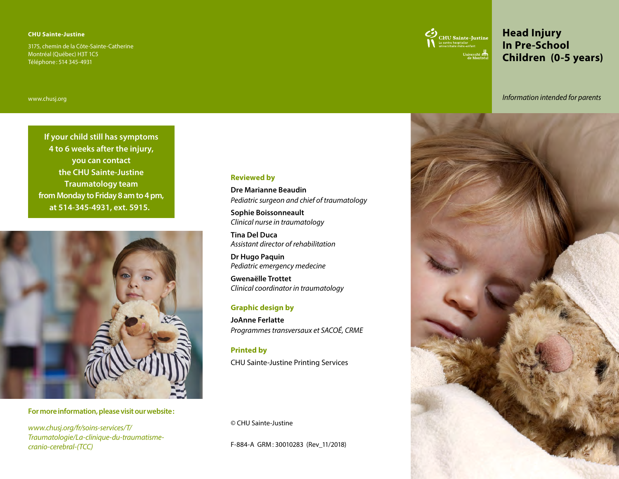#### **CHU Sainte-Justine**

3175, chemin de la Côte-Sainte-Catherine Montréal (Québec) H3T 1C5 Téléphone: 514 345-4931



# **Head Injury In Pre-School Children (0-5 years)**

*Information intended for parents*

www.chus[j.org](http://www.chusj.org)

**If your child still has symptoms 4 to 6 weeks after the injury, you can contact the CHU Sainte-Justine Traumatology team from Monday to Friday 8 am to 4 pm, at 514-345-4931, ext. 5915.**



### **For more information, please visit our website:**

*[www.chusj.org/fr/soins-services/T/](http://www.chusj.org/fr/soins-services/T/Traumatologie/La-clinique-du-traumatisme-cranio-cerebral-(TCC)) [Traumatologie/La-clinique-du-traumatisme](http://www.chusj.org/fr/soins-services/T/Traumatologie/La-clinique-du-traumatisme-cranio-cerebral-(TCC))[cranio-cerebral-\(TCC\)](http://www.chusj.org/fr/soins-services/T/Traumatologie/La-clinique-du-traumatisme-cranio-cerebral-(TCC))*

#### **Reviewed by**

**Dre Marianne Beaudin** *Pediatric surgeon and chief of traumatology*

**Sophie Boissonneault** *Clinical nurse in traumatology* 

**Tina Del Duca** *Assistant director of rehabilitation* 

**Dr Hugo Paquin** *Pediatric emergency medecine*

**Gwenaëlle Trottet** *Clinical coordinator in traumatology*

#### **Graphic design by**

**JoAnne Ferlatte** *Programmes transversaux et SACOÉ, CRME*

#### **Printed by**

CHU Sainte-Justine Printing Services

© CHU Sainte-Justine

F-884-A GRM: 30010283 (Rev\_11/2018)